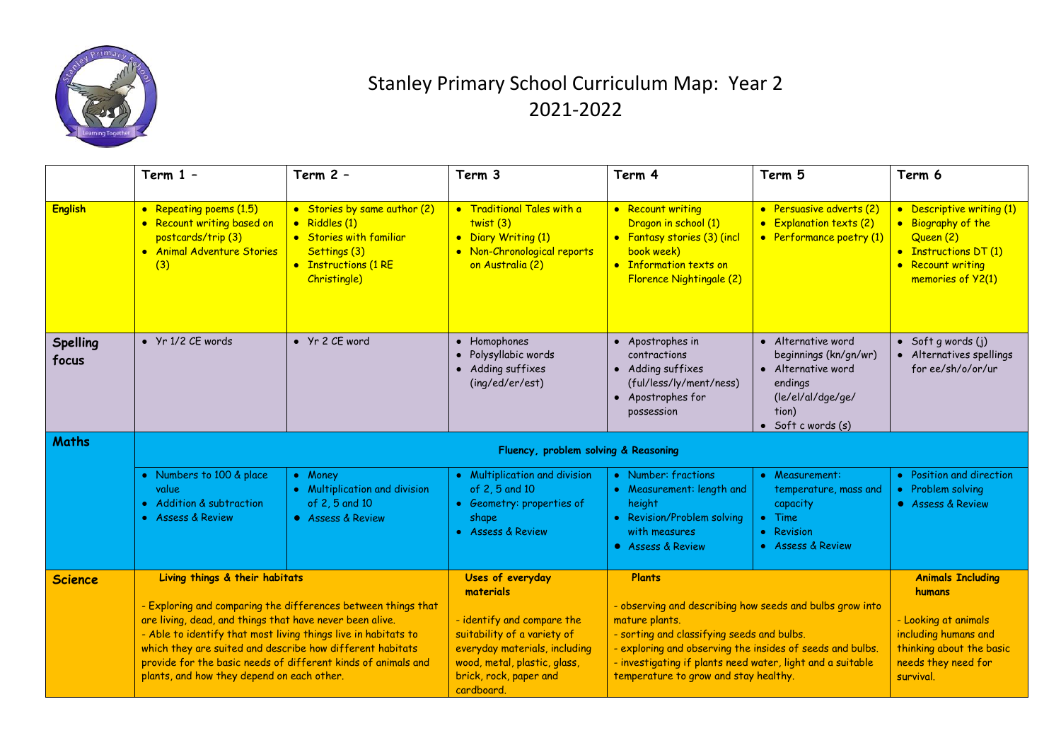

## Stanley Primary School Curriculum Map: Year 2 2021-2022

|                          | Term $1 -$                                                                                                                                                                                                                                                                                                                                                              | Term $2 -$                                                                                                                       | Term 3                                                                                                                                                             | Term 4                                                                                                                                                                                                                                                                                       | Term 5                                                                                                                                   | Term 6                                                                                                                          |
|--------------------------|-------------------------------------------------------------------------------------------------------------------------------------------------------------------------------------------------------------------------------------------------------------------------------------------------------------------------------------------------------------------------|----------------------------------------------------------------------------------------------------------------------------------|--------------------------------------------------------------------------------------------------------------------------------------------------------------------|----------------------------------------------------------------------------------------------------------------------------------------------------------------------------------------------------------------------------------------------------------------------------------------------|------------------------------------------------------------------------------------------------------------------------------------------|---------------------------------------------------------------------------------------------------------------------------------|
| <b>English</b>           | • Repeating poems (1.5)<br>• Recount writing based on<br>postcards/trip (3)<br>• Animal Adventure Stories<br>(3)                                                                                                                                                                                                                                                        | • Stories by same author (2)<br>· Riddles (1)<br>• Stories with familiar<br>Settings (3)<br>• Instructions (1 RE<br>Christingle) | • Traditional Tales with a<br>twist(3)<br>• Diary Writing (1)<br>• Non-Chronological reports<br>on Australia (2)                                                   | • Recount writing<br>Dragon in school (1)<br>• Fantasy stories (3) (incl<br>book week)<br>• Information texts on<br>Florence Nightingale (2)                                                                                                                                                 | • Persuasive adverts (2)<br>• Explanation texts (2)<br>• Performance poetry (1)                                                          | • Descriptive writing (1)<br>• Biography of the<br>Queen (2)<br>• Instructions DT (1)<br>• Recount writing<br>memories of Y2(1) |
| <b>Spelling</b><br>focus | $\bullet$ Yr 1/2 CE words                                                                                                                                                                                                                                                                                                                                               | • Yr 2 CE word                                                                                                                   | Homophones<br>$\bullet$<br>Polysyllabic words<br>• Adding suffixes<br>(ing/ed/er/est)                                                                              | • Apostrophes in<br>contractions<br>• Adding suffixes<br>(ful/less/ly/ment/ness)<br>• Apostrophes for<br>possession                                                                                                                                                                          | • Alternative word<br>beginnings (kn/gn/wr)<br>• Alternative word<br>endings<br>(le/el/al/dge/ge/<br>tion)<br>$\bullet$ Soft c words (s) | $\bullet$ Soft g words (j)<br>• Alternatives spellings<br>for ee/sh/o/or/ur                                                     |
| <b>Maths</b>             | Fluency, problem solving & Reasoning                                                                                                                                                                                                                                                                                                                                    |                                                                                                                                  |                                                                                                                                                                    |                                                                                                                                                                                                                                                                                              |                                                                                                                                          |                                                                                                                                 |
|                          | • Numbers to 100 & place<br>value<br>• Addition & subtraction<br>• Assess & Review                                                                                                                                                                                                                                                                                      | • Money<br>• Multiplication and division<br>of 2, 5 and 10<br>• Assess & Review                                                  | • Multiplication and division<br>of 2, 5 and 10<br>• Geometry: properties of<br>shape<br>• Assess & Review                                                         | • Number: fractions<br>• Measurement: length and<br>height<br>• Revision/Problem solving<br>with measures<br>• Assess & Review                                                                                                                                                               | • Measurement:<br>temperature, mass and<br>capacity<br>$\bullet$ Time<br>• Revision<br>• Assess & Review                                 | • Position and direction<br>• Problem solving<br>• Assess & Review                                                              |
| <b>Science</b>           | Living things & their habitats                                                                                                                                                                                                                                                                                                                                          |                                                                                                                                  | Uses of everyday<br>materials                                                                                                                                      | <b>Plants</b>                                                                                                                                                                                                                                                                                |                                                                                                                                          | <b>Animals Including</b><br>humans                                                                                              |
|                          | - Exploring and comparing the differences between things that<br>are living, dead, and things that have never been alive.<br>- Able to identify that most living things live in habitats to<br>which they are suited and describe how different habitats<br>provide for the basic needs of different kinds of animals and<br>plants, and how they depend on each other. |                                                                                                                                  | - identify and compare the<br>suitability of a variety of<br>everyday materials, including<br>wood, metal, plastic, glass,<br>brick, rock, paper and<br>cardboard. | - observing and describing how seeds and bulbs grow into<br>mature plants.<br>- sorting and classifying seeds and bulbs.<br>- exploring and observing the insides of seeds and bulbs.<br>- investigating if plants need water, light and a suitable<br>temperature to grow and stay healthy. |                                                                                                                                          | - Looking at animals<br>including humans and<br>thinking about the basic<br>needs they need for<br>survival.                    |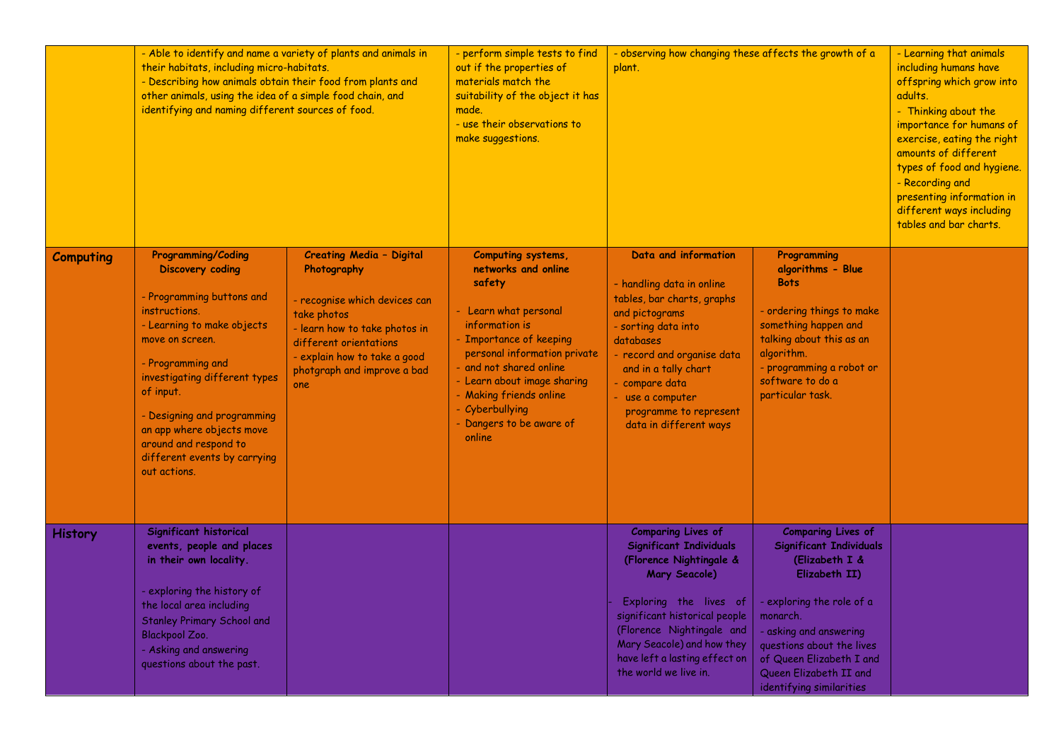|                  | - Able to identify and name a variety of plants and animals in<br>their habitats, including micro-habitats.<br>- Describing how animals obtain their food from plants and<br>other animals, using the idea of a simple food chain, and<br>identifying and naming different sources of food.                                                                 |                                                                                                                                                                                                                                 | - perform simple tests to find<br>out if the properties of<br>materials match the<br>suitability of the object it has<br>made.<br>- use their observations to<br>make suggestions.                                                                                                                      | - observing how changing these affects the growth of a<br>plant.                                                                                                                                                                                                                        | - Learning that animals<br>including humans have<br>offspring which grow into<br>adults.<br>- Thinking about the<br>importance for humans of<br>exercise, eating the right<br>amounts of different<br>types of food and hygiene.<br>- Recording and<br>presenting information in<br>different ways including<br>tables and bar charts. |  |
|------------------|-------------------------------------------------------------------------------------------------------------------------------------------------------------------------------------------------------------------------------------------------------------------------------------------------------------------------------------------------------------|---------------------------------------------------------------------------------------------------------------------------------------------------------------------------------------------------------------------------------|---------------------------------------------------------------------------------------------------------------------------------------------------------------------------------------------------------------------------------------------------------------------------------------------------------|-----------------------------------------------------------------------------------------------------------------------------------------------------------------------------------------------------------------------------------------------------------------------------------------|----------------------------------------------------------------------------------------------------------------------------------------------------------------------------------------------------------------------------------------------------------------------------------------------------------------------------------------|--|
| <b>Computing</b> | <b>Programming/Coding</b><br><b>Discovery coding</b><br>- Programming buttons and<br>instructions.<br>- Learning to make objects<br>move on screen.<br>- Programming and<br>investigating different types<br>of input.<br>- Designing and programming<br>an app where objects move<br>around and respond to<br>different events by carrying<br>out actions. | <b>Creating Media - Digital</b><br>Photography<br>- recognise which devices can<br>take photos<br>- learn how to take photos in<br>different orientations<br>- explain how to take a good<br>photgraph and improve a bad<br>one | Computing systems,<br>networks and online<br>safety<br>- Learn what personal<br>information is<br>- Importance of keeping<br>personal information private<br>- and not shared online<br>- Learn about image sharing<br>- Making friends online<br>- Cyberbullying<br>- Dangers to be aware of<br>online | Data and information<br>- handling data in online<br>tables, bar charts, graphs<br>and pictograms<br>- sorting data into<br>databases<br>- record and organise data<br>and in a tally chart<br>- compare data<br>- use a computer<br>programme to represent<br>data in different ways   | Programming<br>algorithms - Blue<br><b>Bots</b><br>- ordering things to make<br>something happen and<br>talking about this as an<br>algorithm.<br>- programming a robot or<br>software to do a<br>particular task.                                                                                                                     |  |
| <b>History</b>   | Significant historical<br>events, people and places<br>in their own locality.<br>- exploring the history of<br>the local area including<br><b>Stanley Primary School and</b><br><b>Blackpool Zoo.</b><br>- Asking and answering<br>questions about the past.                                                                                                |                                                                                                                                                                                                                                 |                                                                                                                                                                                                                                                                                                         | <b>Comparing Lives of</b><br><b>Significant Individuals</b><br>(Florence Nightingale &<br>Mary Seacole)<br>Exploring the lives of<br>significant historical people<br>(Florence Nightingale and<br>Mary Seacole) and how they<br>have left a lasting effect on<br>the world we live in. | <b>Comparing Lives of</b><br><b>Significant Individuals</b><br>(Elizabeth I &<br>Elizabeth II)<br>exploring the role of a<br>monarch.<br>- asking and answering<br>questions about the lives<br>of Queen Elizabeth I and<br>Queen Elizabeth II and<br>identifying similarities                                                         |  |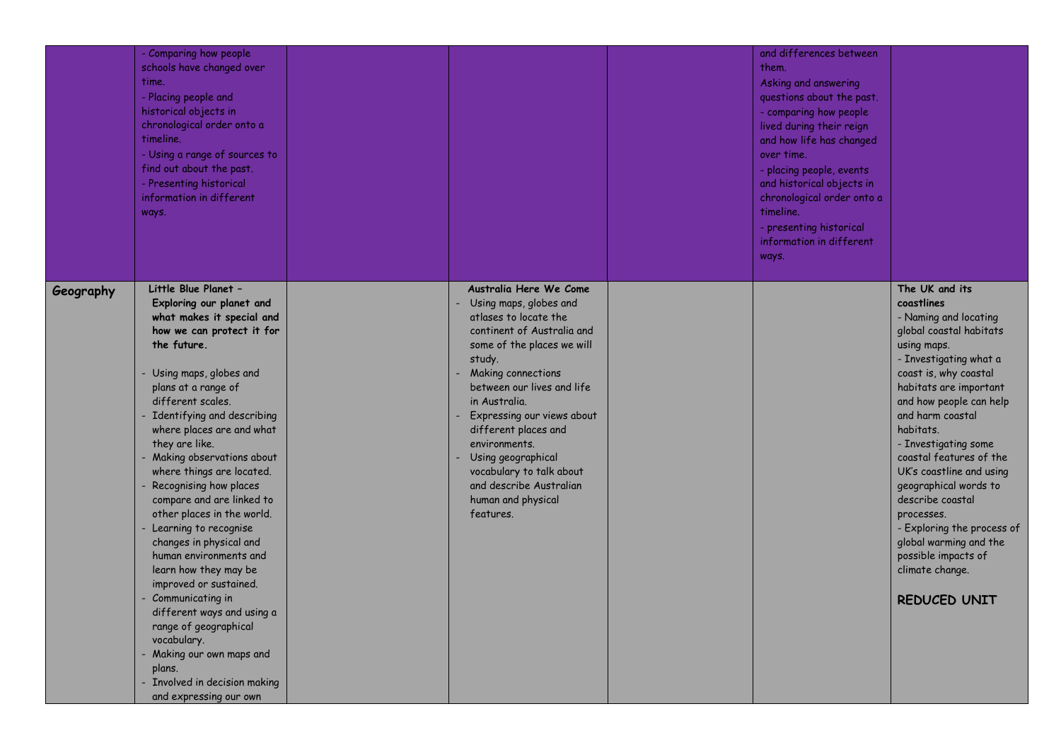|           | - Comparing how people<br>schools have changed over<br>time.<br>- Placing people and<br>historical objects in<br>chronological order onto a<br>timeline.<br>- Using a range of sources to<br>find out about the past.<br>- Presenting historical<br>information in different<br>ways.                                                                                                                                                                                                                                                                                                                                                                                                                                                                  |                                                                                                                                                                                                                                                                                                                                                                                                                    | and differences between<br>them.<br>Asking and answering<br>questions about the past.<br>- comparing how people<br>lived during their reign<br>and how life has changed<br>over time.<br>- placing people, events<br>and historical objects in<br>chronological order onto a<br>timeline.<br>- presenting historical<br>information in different<br>ways. |                                                                                                                                                                                                                                                                                                                                                                                                                                                                                                      |
|-----------|--------------------------------------------------------------------------------------------------------------------------------------------------------------------------------------------------------------------------------------------------------------------------------------------------------------------------------------------------------------------------------------------------------------------------------------------------------------------------------------------------------------------------------------------------------------------------------------------------------------------------------------------------------------------------------------------------------------------------------------------------------|--------------------------------------------------------------------------------------------------------------------------------------------------------------------------------------------------------------------------------------------------------------------------------------------------------------------------------------------------------------------------------------------------------------------|-----------------------------------------------------------------------------------------------------------------------------------------------------------------------------------------------------------------------------------------------------------------------------------------------------------------------------------------------------------|------------------------------------------------------------------------------------------------------------------------------------------------------------------------------------------------------------------------------------------------------------------------------------------------------------------------------------------------------------------------------------------------------------------------------------------------------------------------------------------------------|
| Geography | Little Blue Planet -<br>Exploring our planet and<br>what makes it special and<br>how we can protect it for<br>the future.<br>Using maps, globes and<br>plans at a range of<br>different scales.<br>- Identifying and describing<br>where places are and what<br>they are like.<br>Making observations about<br>where things are located.<br>Recognising how places<br>compare and are linked to<br>other places in the world.<br>Learning to recognise<br>changes in physical and<br>human environments and<br>learn how they may be<br>improved or sustained.<br>Communicating in<br>different ways and using a<br>range of geographical<br>vocabulary.<br>Making our own maps and<br>plans.<br>Involved in decision making<br>and expressing our own | Australia Here We Come<br>Using maps, globes and<br>atlases to locate the<br>continent of Australia and<br>some of the places we will<br>study.<br><b>Making connections</b><br>between our lives and life<br>in Australia.<br>Expressing our views about<br>different places and<br>environments.<br>Using geographical<br>vocabulary to talk about<br>and describe Australian<br>human and physical<br>features. |                                                                                                                                                                                                                                                                                                                                                           | The UK and its<br>coastlines<br>- Naming and locating<br>global coastal habitats<br>using maps.<br>- Investigating what a<br>coast is, why coastal<br>habitats are important<br>and how people can help<br>and harm coastal<br>habitats.<br>- Investigating some<br>coastal features of the<br>UK's coastline and using<br>geographical words to<br>describe coastal<br>processes.<br>- Exploring the process of<br>global warming and the<br>possible impacts of<br>climate change.<br>REDUCED UNIT |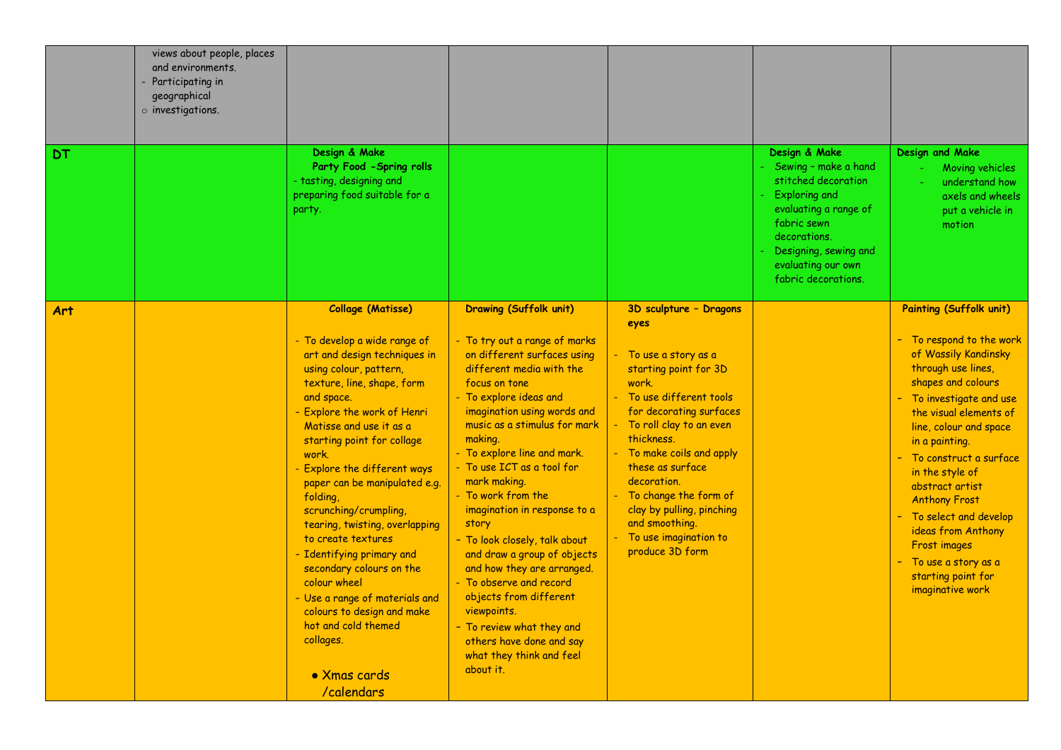| DT         | views about people, places<br>and environments.<br>Participating in<br>geographical<br>$\circ$ investigations. | Design & Make<br>Party Food - Spring rolls<br>- tasting, designing and<br>preparing food suitable for a<br>party.                                                                                                                                                                                                                                                                                                                                                                                                                                                                                                                        |                                                                                                                                                                                                                                                                                                                                                                                                                                                                                                                                                                                                                                                                |                                                                                                                                                                                                                                                                                                                                                                                     | Design & Make<br>Sewing - make a hand<br>stitched decoration<br><b>Exploring and</b><br>evaluating a range of<br>fabric sewn<br>decorations.<br>Designing, sewing and<br>evaluating our own<br>fabric decorations. | Design and Make<br>Moving vehicles<br>understand how<br>axels and wheels<br>put a vehicle in<br>motion                                                                                                                                                                                                                                                                                                                                                       |
|------------|----------------------------------------------------------------------------------------------------------------|------------------------------------------------------------------------------------------------------------------------------------------------------------------------------------------------------------------------------------------------------------------------------------------------------------------------------------------------------------------------------------------------------------------------------------------------------------------------------------------------------------------------------------------------------------------------------------------------------------------------------------------|----------------------------------------------------------------------------------------------------------------------------------------------------------------------------------------------------------------------------------------------------------------------------------------------------------------------------------------------------------------------------------------------------------------------------------------------------------------------------------------------------------------------------------------------------------------------------------------------------------------------------------------------------------------|-------------------------------------------------------------------------------------------------------------------------------------------------------------------------------------------------------------------------------------------------------------------------------------------------------------------------------------------------------------------------------------|--------------------------------------------------------------------------------------------------------------------------------------------------------------------------------------------------------------------|--------------------------------------------------------------------------------------------------------------------------------------------------------------------------------------------------------------------------------------------------------------------------------------------------------------------------------------------------------------------------------------------------------------------------------------------------------------|
| <b>Art</b> |                                                                                                                | <b>Collage (Matisse)</b><br>- To develop a wide range of<br>art and design techniques in<br>using colour, pattern,<br>texture, line, shape, form<br>and space.<br>- Explore the work of Henri<br>Matisse and use it as a<br>starting point for collage<br>work.<br>- Explore the different ways<br>paper can be manipulated e.g.<br>folding,<br>scrunching/crumpling,<br>tearing, twisting, overlapping<br>to create textures<br>- Identifying primary and<br>secondary colours on the<br>colour wheel<br>- Use a range of materials and<br>colours to design and make<br>hot and cold themed<br>collages.<br>• Xmas cards<br>/calendars | <b>Drawing (Suffolk unit)</b><br>- To try out a range of marks<br>on different surfaces using<br>different media with the<br>focus on tone<br>- To explore ideas and<br>imagination using words and<br>music as a stimulus for mark<br>making.<br>- To explore line and mark.<br>- To use ICT as a tool for<br>mark making.<br>- To work from the<br>imagination in response to a<br>story<br>- To look closely, talk about<br>and draw a group of objects<br>and how they are arranged.<br>- To observe and record<br>objects from different<br>viewpoints.<br>- To review what they and<br>others have done and say<br>what they think and feel<br>about it. | 3D sculpture - Dragons<br>eyes<br>- To use a story as a<br>starting point for 3D<br>work.<br>- To use different tools<br>for decorating surfaces<br>- To roll clay to an even<br>thickness.<br>- To make coils and apply<br>these as surface<br>decoration.<br>- To change the form of<br>clay by pulling, pinching<br>and smoothing.<br>- To use imagination to<br>produce 3D form |                                                                                                                                                                                                                    | <b>Painting (Suffolk unit)</b><br>- To respond to the work<br>of Wassily Kandinsky<br>through use lines,<br>shapes and colours<br>- To investigate and use<br>the visual elements of<br>line, colour and space<br>in a painting.<br>To construct a surface<br>in the style of<br>abstract artist<br><b>Anthony Frost</b><br>- To select and develop<br>ideas from Anthony<br>Frost images<br>- To use a story as a<br>starting point for<br>imaginative work |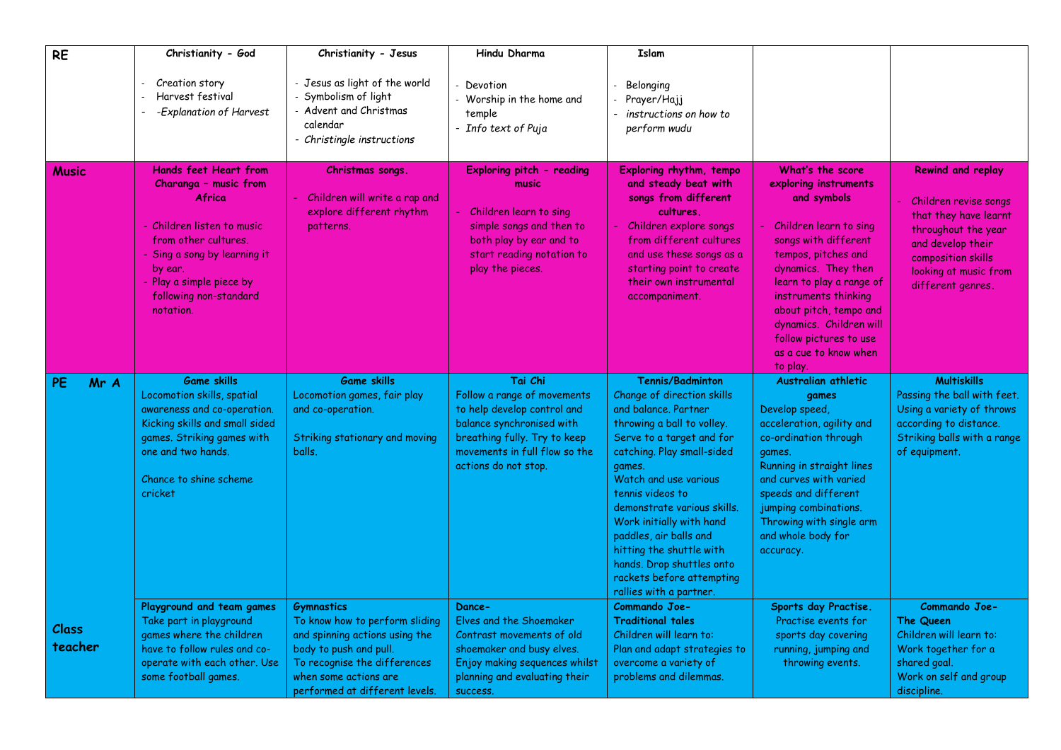| <b>RE</b>        | Christianity - God                                                                                                                                                                                                                         | Christianity - Jesus                                                                                                                                                                                       | Hindu Dharma                                                                                                                                                                                | <b>Islam</b>                                                                                                                                                                                                                                                                                                                                                                                                                        |                                                                                                                                                                                                                                                                                                                                  |                                                                                                                                                                                            |
|------------------|--------------------------------------------------------------------------------------------------------------------------------------------------------------------------------------------------------------------------------------------|------------------------------------------------------------------------------------------------------------------------------------------------------------------------------------------------------------|---------------------------------------------------------------------------------------------------------------------------------------------------------------------------------------------|-------------------------------------------------------------------------------------------------------------------------------------------------------------------------------------------------------------------------------------------------------------------------------------------------------------------------------------------------------------------------------------------------------------------------------------|----------------------------------------------------------------------------------------------------------------------------------------------------------------------------------------------------------------------------------------------------------------------------------------------------------------------------------|--------------------------------------------------------------------------------------------------------------------------------------------------------------------------------------------|
|                  | Creation story<br>Harvest festival<br>-Explanation of Harvest                                                                                                                                                                              | - Jesus as light of the world<br>Symbolism of light<br>Advent and Christmas<br>calendar<br>- Christingle instructions                                                                                      | Devotion<br>Worship in the home and<br>temple<br>- Info text of Puja                                                                                                                        | Belonging<br>Prayer/Hajj<br>instructions on how to<br>perform wudu                                                                                                                                                                                                                                                                                                                                                                  |                                                                                                                                                                                                                                                                                                                                  |                                                                                                                                                                                            |
| <b>Music</b>     | <b>Hands feet Heart from</b><br>Charanga - music from<br><b>Africa</b><br>- Children listen to music<br>from other cultures.<br>- Sing a song by learning it<br>by ear.<br>- Play a simple piece by<br>following non-standard<br>notation. | Christmas songs.<br>Children will write a rap and<br>explore different rhythm<br>patterns.                                                                                                                 | Exploring pitch - reading<br>music<br>Children learn to sing<br>simple songs and then to<br>both play by ear and to<br>start reading notation to<br>play the pieces.                        | Exploring rhythm, tempo<br>and steady beat with<br>songs from different<br>cultures.<br>Children explore songs<br>from different cultures<br>and use these songs as a<br>starting point to create<br>their own instrumental<br>accompaniment.                                                                                                                                                                                       | What's the score<br>exploring instruments<br>and symbols<br>Children learn to sing<br>songs with different<br>tempos, pitches and<br>dynamics. They then<br>learn to play a range of<br>instruments thinking<br>about pitch, tempo and<br>dynamics. Children will<br>follow pictures to use<br>as a cue to know when<br>to play. | <b>Rewind and replay</b><br>Children revise songs<br>that they have learnt<br>throughout the year<br>and develop their<br>composition skills<br>looking at music from<br>different genres. |
| PE<br>Mr A       | <b>Game skills</b><br>Locomotion skills, spatial<br>awareness and co-operation.<br>Kicking skills and small sided<br>games. Striking games with<br>one and two hands.<br>Chance to shine scheme<br>cricket                                 | <b>Game skills</b><br>Locomotion games, fair play<br>and co-operation.<br>Striking stationary and moving<br>balls.                                                                                         | Tai Chi<br>Follow a range of movements<br>to help develop control and<br>balance synchronised with<br>breathing fully. Try to keep<br>movements in full flow so the<br>actions do not stop. | <b>Tennis/Badminton</b><br>Change of direction skills<br>and balance, Partner<br>throwing a ball to volley.<br>Serve to a target and for<br>catching. Play small-sided<br>games.<br>Watch and use various<br>tennis videos to<br>demonstrate various skills.<br>Work initially with hand<br>paddles, air balls and<br>hitting the shuttle with<br>hands. Drop shuttles onto<br>rackets before attempting<br>rallies with a partner. | Australian athletic<br>games<br>Develop speed,<br>acceleration, agility and<br>co-ordination through<br>games.<br>Running in straight lines<br>and curves with varied<br>speeds and different<br>jumping combinations.<br>Throwing with single arm<br>and whole body for<br>accuracy.                                            | <b>Multiskills</b><br>Passing the ball with feet.<br>Using a variety of throws<br>according to distance.<br>Striking balls with a range<br>of equipment.                                   |
| Class<br>teacher | Playground and team games<br>Take part in playground<br>games where the children<br>have to follow rules and co-<br>operate with each other. Use<br>some football games.                                                                   | <b>Gymnastics</b><br>To know how to perform sliding<br>and spinning actions using the<br>body to push and pull.<br>To recognise the differences<br>when some actions are<br>performed at different levels. | Dance-<br>Elves and the Shoemaker<br>Contrast movements of old<br>shoemaker and busy elves.<br>Enjoy making sequences whilst<br>planning and evaluating their<br>success.                   | Commando Joe-<br><b>Traditional tales</b><br>Children will learn to:<br>Plan and adapt strategies to<br>overcome a variety of<br>problems and dilemmas.                                                                                                                                                                                                                                                                             | Sports day Practise.<br>Practise events for<br>sports day covering<br>running, jumping and<br>throwing events.                                                                                                                                                                                                                   | Commando Joe-<br><b>The Queen</b><br>Children will learn to:<br>Work together for a<br>shared goal.<br>Work on self and group<br>discipline.                                               |